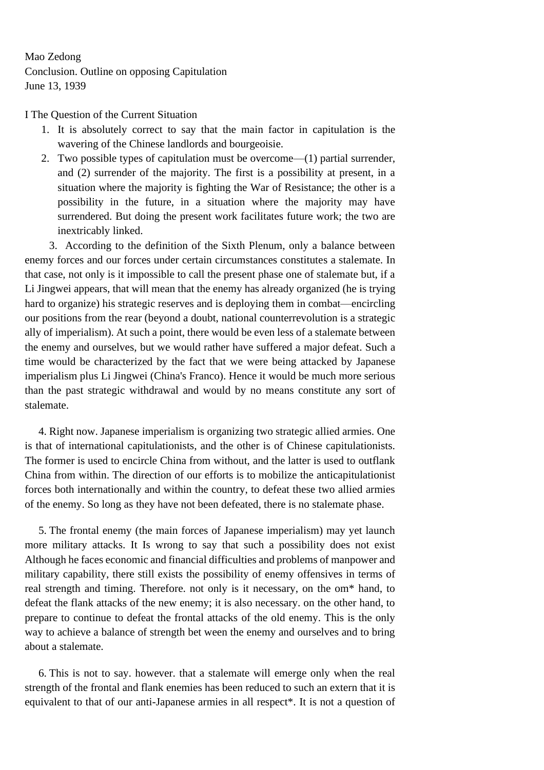Mao Zedong Conclusion. Outline on opposing Capitulation June 13, 1939

I The Question of the Current Situation

- 1. It is absolutely correct to say that the main factor in capitulation is the wavering of the Chinese landlords and bourgeoisie.
- 2. Two possible types of capitulation must be overcome—(1) partial surrender, and (2) surrender of the majority. The first is a possibility at present, in a situation where the majority is fighting the War of Resistance; the other is a possibility in the future, in a situation where the majority may have surrendered. But doing the present work facilitates future work; the two are inextricably linked.

3. According to the definition of the Sixth Plenum, only a balance between enemy forces and our forces under certain circumstances constitutes a stalemate. In that case, not only is it impossible to call the present phase one of stalemate but, if a Li Jingwei appears, that will mean that the enemy has already organized (he is trying hard to organize) his strategic reserves and is deploying them in combat—encircling our positions from the rear (beyond a doubt, national counterrevolution is a strategic ally of imperialism). At such a point, there would be even less of a stalemate between the enemy and ourselves, but we would rather have suffered a major defeat. Such a time would be characterized by the fact that we were being attacked by Japanese imperialism plus Li Jingwei (China's Franco). Hence it would be much more serious than the past strategic withdrawal and would by no means constitute any sort of stalemate.

4. Right now. Japanese imperialism is organizing two strategic allied armies. One is that of international capitulationists, and the other is of Chinese capitulationists. The former is used to encircle China from without, and the latter is used to outflank China from within. The direction of our efforts is to mobilize the anticapitulationist forces both internationally and within the country, to defeat these two allied armies of the enemy. So long as they have not been defeated, there is no stalemate phase.

5. The frontal enemy (the main forces of Japanese imperialism) may yet launch more military attacks. It Is wrong to say that such a possibility does not exist Although he faces economic and financial difficulties and problems of manpower and military capability, there still exists the possibility of enemy offensives in terms of real strength and timing. Therefore. not only is it necessary, on the om\* hand, to defeat the flank attacks of the new enemy; it is also necessary. on the other hand, to prepare to continue to defeat the frontal attacks of the old enemy. This is the only way to achieve a balance of strength bet ween the enemy and ourselves and to bring about a stalemate.

6. This is not to say. however. that a stalemate will emerge only when the real strength of the frontal and flank enemies has been reduced to such an extern that it is equivalent to that of our anti-Japanese armies in all respect\*. It is not a question of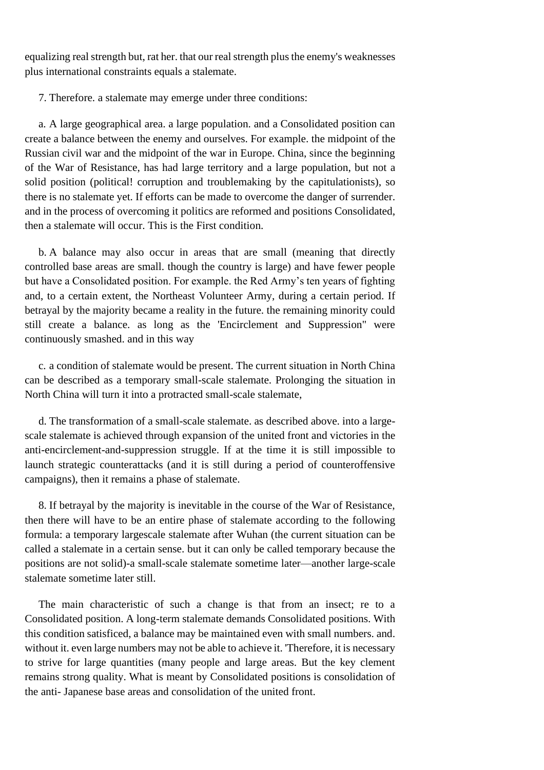equalizing real strength but, rat her. that our real strength plus the enemy's weaknesses plus international constraints equals a stalemate.

7. Therefore. a stalemate may emerge under three conditions:

a. A large geographical area. a large population. and a Consolidated position can create a balance between the enemy and ourselves. For example. the midpoint of the Russian civil war and the midpoint of the war in Europe. China, since the beginning of the War of Resistance, has had large territory and a large population, but not a solid position (political! corruption and troublemaking by the capitulationists), so there is no stalemate yet. If efforts can be made to overcome the danger of surrender. and in the process of overcoming it politics are reformed and positions Consolidated, then a stalemate will occur. This is the First condition.

b. A balance may also occur in areas that are small (meaning that directly controlled base areas are small. though the country is large) and have fewer people but have a Consolidated position. For example. the Red Army's ten years of fighting and, to a certain extent, the Northeast Volunteer Army, during a certain period. If betrayal by the majority became a reality in the future. the remaining minority could still create a balance. as long as the 'Encirclement and Suppression" were continuously smashed. and in this way

c. a condition of stalemate would be present. The current situation in North China can be described as a temporary small-scale stalemate. Prolonging the situation in North China will turn it into a protracted small-scale stalemate,

d. The transformation of a small-scale stalemate. as described above. into a largescale stalemate is achieved through expansion of the united front and victories in the anti-encirclement-and-suppression struggle. If at the time it is still impossible to launch strategic counterattacks (and it is still during a period of counteroffensive campaigns), then it remains a phase of stalemate.

8. If betrayal by the majority is inevitable in the course of the War of Resistance, then there will have to be an entire phase of stalemate according to the following formula: a temporary largescale stalemate after Wuhan (the current situation can be called a stalemate in a certain sense. but it can only be called temporary because the positions are not solid)-a small-scale stalemate sometime later—another large-scale stalemate sometime later still.

The main characteristic of such a change is that from an insect; re to a Consolidated position. A long-term stalemate demands Consolidated positions. With this condition satisficed, a balance may be maintained even with small numbers. and. without it. even large numbers may not be able to achieve it. 'Therefore, it is necessary to strive for large quantities (many people and large areas. But the key clement remains strong quality. What is meant by Consolidated positions is consolidation of the anti- Japanese base areas and consolidation of the united front.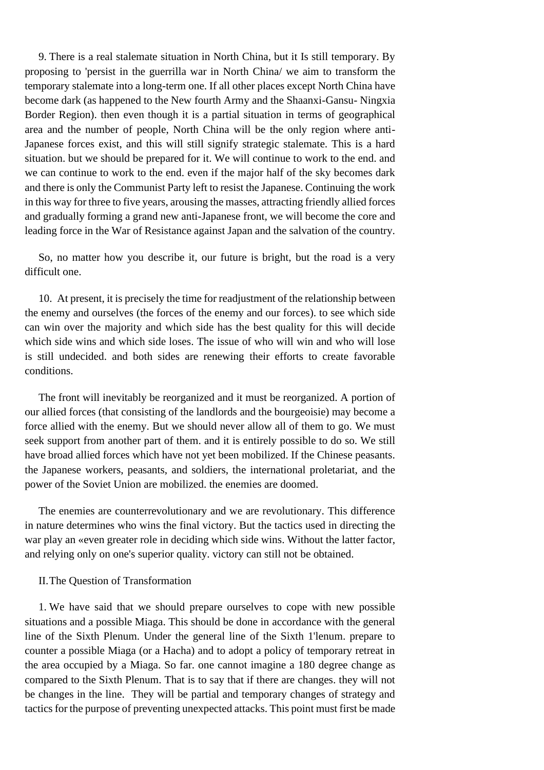9. There is a real stalemate situation in North China, but it Is still temporary. By proposing to 'persist in the guerrilla war in North China/ we aim to transform the temporary stalemate into a long-term one. If all other places except North China have become dark (as happened to the New fourth Army and the Shaanxi-Gansu- Ningxia Border Region). then even though it is a partial situation in terms of geographical area and the number of people, North China will be the only region where anti-Japanese forces exist, and this will still signify strategic stalemate. This is a hard situation. but we should be prepared for it. We will continue to work to the end. and we can continue to work to the end. even if the major half of the sky becomes dark and there is only the Communist Party left to resist the Japanese. Continuing the work in this way for three to five years, arousing the masses, attracting friendly allied forces and gradually forming a grand new anti-Japanese front, we will become the core and leading force in the War of Resistance against Japan and the salvation of the country.

So, no matter how you describe it, our future is bright, but the road is a very difficult one.

10. At present, it is precisely the time for readjustment of the relationship between the enemy and ourselves (the forces of the enemy and our forces). to see which side can win over the majority and which side has the best quality for this will decide which side wins and which side loses. The issue of who will win and who will lose is still undecided. and both sides are renewing their efforts to create favorable conditions.

The front will inevitably be reorganized and it must be reorganized. A portion of our allied forces (that consisting of the landlords and the bourgeoisie) may become a force allied with the enemy. But we should never allow all of them to go. We must seek support from another part of them. and it is entirely possible to do so. We still have broad allied forces which have not yet been mobilized. If the Chinese peasants. the Japanese workers, peasants, and soldiers, the international proletariat, and the power of the Soviet Union are mobilized. the enemies are doomed.

The enemies are counterrevolutionary and we are revolutionary. This difference in nature determines who wins the final victory. But the tactics used in directing the war play an «even greater role in deciding which side wins. Without the latter factor, and relying only on one's superior quality. victory can still not be obtained.

## II.The Question of Transformation

1. We have said that we should prepare ourselves to cope with new possible situations and a possible Miaga. This should be done in accordance with the general line of the Sixth Plenum. Under the general line of the Sixth 1'lenum. prepare to counter a possible Miaga (or a Hacha) and to adopt a policy of temporary retreat in the area occupied by a Miaga. So far. one cannot imagine a 180 degree change as compared to the Sixth Plenum. That is to say that if there are changes. they will not be changes in the line. They will be partial and temporary changes of strategy and tactics for the purpose of preventing unexpected attacks. This point must first be made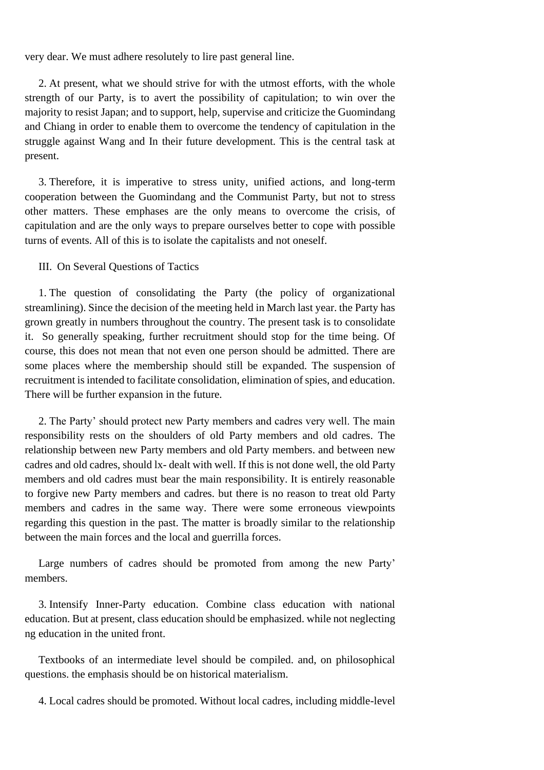very dear. We must adhere resolutely to lire past general line.

2. At present, what we should strive for with the utmost efforts, with the whole strength of our Party, is to avert the possibility of capitulation; to win over the majority to resist Japan; and to support, help, supervise and criticize the Guomindang and Chiang in order to enable them to overcome the tendency of capitulation in the struggle against Wang and In their future development. This is the central task at present.

3. Therefore, it is imperative to stress unity, unified actions, and long-term cooperation between the Guomindang and the Communist Party, but not to stress other matters. These emphases are the only means to overcome the crisis, of capitulation and are the only ways to prepare ourselves better to cope with possible turns of events. All of this is to isolate the capitalists and not oneself.

III. On Several Questions of Tactics

1. The question of consolidating the Party (the policy of organizational streamlining). Since the decision of the meeting held in March last year. the Party has grown greatly in numbers throughout the country. The present task is to consolidate it. So generally speaking, further recruitment should stop for the time being. Of course, this does not mean that not even one person should be admitted. There are some places where the membership should still be expanded. The suspension of recruitment is intended to facilitate consolidation, elimination of spies, and education. There will be further expansion in the future.

2. The Party' should protect new Party members and cadres very well. The main responsibility rests on the shoulders of old Party members and old cadres. The relationship between new Party members and old Party members. and between new cadres and old cadres, should lx- dealt with well. If this is not done well, the old Party members and old cadres must bear the main responsibility. It is entirely reasonable to forgive new Party members and cadres. but there is no reason to treat old Party members and cadres in the same way. There were some erroneous viewpoints regarding this question in the past. The matter is broadly similar to the relationship between the main forces and the local and guerrilla forces.

Large numbers of cadres should be promoted from among the new Party' members.

3. Intensify Inner-Party education. Combine class education with national education. But at present, class education should be emphasized. while not neglecting ng education in the united front.

Textbooks of an intermediate level should be compiled. and, on philosophical questions. the emphasis should be on historical materialism.

4. Local cadres should be promoted. Without local cadres, including middle-level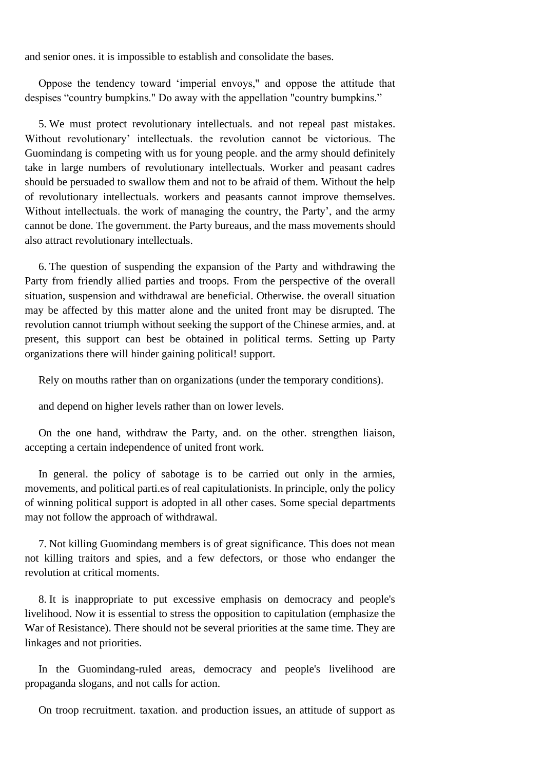and senior ones. it is impossible to establish and consolidate the bases.

Oppose the tendency toward 'imperial envoys," and oppose the attitude that despises "country bumpkins." Do away with the appellation "country bumpkins."

5. We must protect revolutionary intellectuals. and not repeal past mistakes. Without revolutionary' intellectuals. the revolution cannot be victorious. The Guomindang is competing with us for young people. and the army should definitely take in large numbers of revolutionary intellectuals. Worker and peasant cadres should be persuaded to swallow them and not to be afraid of them. Without the help of revolutionary intellectuals. workers and peasants cannot improve themselves. Without intellectuals. the work of managing the country, the Party', and the army cannot be done. The government. the Party bureaus, and the mass movements should also attract revolutionary intellectuals.

6. The question of suspending the expansion of the Party and withdrawing the Party from friendly allied parties and troops. From the perspective of the overall situation, suspension and withdrawal are beneficial. Otherwise. the overall situation may be affected by this matter alone and the united front may be disrupted. The revolution cannot triumph without seeking the support of the Chinese armies, and. at present, this support can best be obtained in political terms. Setting up Party organizations there will hinder gaining political! support.

Rely on mouths rather than on organizations (under the temporary conditions).

and depend on higher levels rather than on lower levels.

On the one hand, withdraw the Party, and. on the other. strengthen liaison, accepting a certain independence of united front work.

In general. the policy of sabotage is to be carried out only in the armies, movements, and political parti.es of real capitulationists. In principle, only the policy of winning political support is adopted in all other cases. Some special departments may not follow the approach of withdrawal.

7. Not killing Guomindang members is of great significance. This does not mean not killing traitors and spies, and a few defectors, or those who endanger the revolution at critical moments.

8. It is inappropriate to put excessive emphasis on democracy and people's livelihood. Now it is essential to stress the opposition to capitulation (emphasize the War of Resistance). There should not be several priorities at the same time. They are linkages and not priorities.

In the Guomindang-ruled areas, democracy and people's livelihood are propaganda slogans, and not calls for action.

On troop recruitment. taxation. and production issues, an attitude of support as